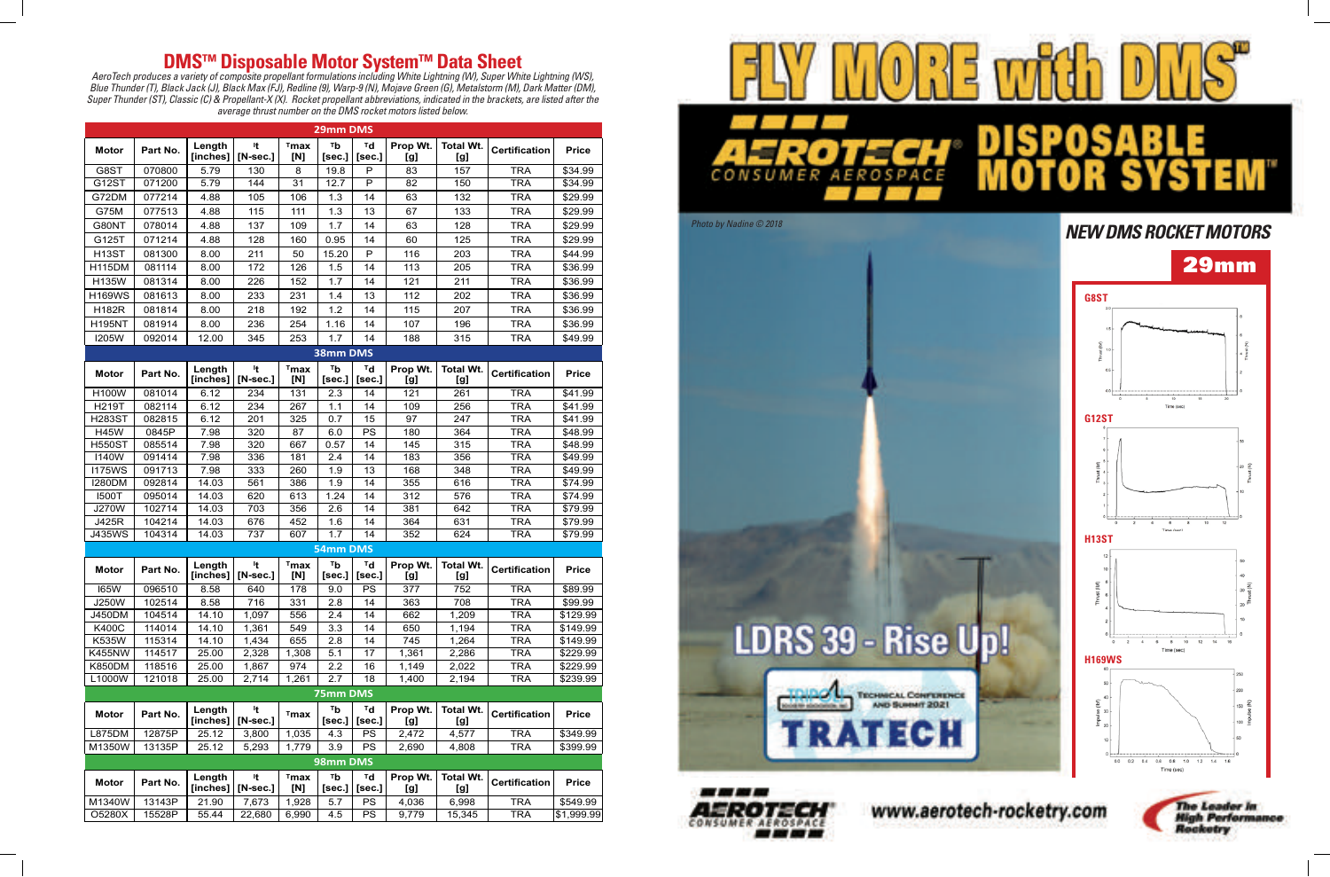

www.aerotech-rocketry.com

## **DMS ™ Disposable Motor System ™ Data Sheet**

*AeroTech produces a variety of composite propellant formulations including White Lightning (W), Super White Lightning (WS), Blue Thunder (T), Black Jack (J), Black Max (FJ), Redline (9), Warp-9 (N), Mojave Green (G), Metalstorm (M), Dark Matter (DM), Super Thunder (ST), Classic (C) & Propellant-X (X). Rocket propellant abbreviations, indicated in the brackets, are listed after the average thrust number on the DMS rocket motors listed below.*

| 29mm DMS      |          |                    |                          |                |                   |                            |                 |                         |                      |                     |
|---------------|----------|--------------------|--------------------------|----------------|-------------------|----------------------------|-----------------|-------------------------|----------------------|---------------------|
| <b>Motor</b>  | Part No. | Length<br>[inches] | It.<br>$[N\text{-sec.}]$ | $T$ max<br>[N] | тb<br>[sec.]      | ™d<br>[sec.]               | Prop Wt.<br>[g] | <b>Total Wt.</b><br>[g] | <b>Certification</b> | <b>Price</b>        |
| G8ST          | 070800   | 5.79               | 130                      | 8              | 19.8              | P                          | 83              | 157                     | <b>TRA</b>           | \$34.99             |
| G12ST         | 071200   | 5.79               | 144                      | 31             | 12.7              | P                          | 82              | 150                     | <b>TRA</b>           | \$34.99             |
| G72DM         | 077214   | 4.88               | 105                      | 106            | 1.3               | 14                         | 63              | 132                     | <b>TRA</b>           | \$29.99             |
| G75M          | 077513   | 4.88               | 115                      | 111            | 1.3               | 13                         | 67              | 133                     | <b>TRA</b>           | \$29.99             |
| G80NT         | 078014   | 4.88               | 137                      | 109            | 1.7               | 14                         | 63              | 128                     | <b>TRA</b>           | \$29.99             |
| G125T         | 071214   | 4.88               | 128                      | 160            | 0.95              | 14                         | 60              | 125                     | <b>TRA</b>           | \$29.99             |
| <b>H13ST</b>  | 081300   | 8.00               | 211                      | 50             | 15.20             | P                          | 116             | 203                     | <b>TRA</b>           | \$44.99             |
| <b>H115DM</b> | 081114   | 8.00               | 172                      | 126            | 1.5               | 14                         | 113             | 205                     | <b>TRA</b>           | \$36.99             |
| <b>H135W</b>  | 081314   | 8.00               | 226                      | 152            | 1.7               | 14                         | 121             | 211                     | <b>TRA</b>           | \$36.99             |
| <b>H169WS</b> | 081613   | 8.00               | 233                      | 231            | 1.4               | 13                         | 112             | 202                     | <b>TRA</b>           | \$36.99             |
| <b>H182R</b>  | 081814   | 8.00               | 218                      | 192            | 1.2               | 14                         | 115             | 207                     | <b>TRA</b>           | \$36.99             |
| <b>H195NT</b> | 081914   | 8.00               | 236                      | 254            | 1.16              | 14                         | 107             | 196                     | <b>TRA</b>           | \$36.99             |
|               | 092014   |                    |                          |                |                   |                            |                 |                         |                      |                     |
| <b>I205W</b>  |          | 12.00              | 345                      | 253            | 1.7               | 14                         | 188             | 315                     | <b>TRA</b>           | \$49.99             |
| 38mm DMS      |          |                    |                          |                |                   |                            |                 |                         |                      |                     |
| <b>Motor</b>  | Part No. | Length<br>[inches] | It.<br>$[N\text{-sec.}]$ | $T$ max<br>[N] | $T_{b}$<br>[sec.] | ™d<br>[sec.]               | Prop Wt.<br>[g] | <b>Total Wt.</b><br>[g] | <b>Certification</b> | <b>Price</b>        |
| <b>H100W</b>  | 081014   | 6.12               | 234                      | 131            | 2.3               | 14                         | 121             | 261                     | <b>TRA</b>           | \$41.99             |
| <b>H219T</b>  | 082114   | 6.12               | 234                      | 267            | 1.1               | 14                         | 109             | 256                     | <b>TRA</b>           | \$41.99             |
| <b>H283ST</b> | 082815   | 6.12               | 201                      | 325            | 0.7               | 15                         | 97              | 247                     | <b>TRA</b>           | \$41.99             |
| <b>H45W</b>   | 0845P    | 7.98               | 320                      | 87             | 6.0               | PS                         | 180             | 364                     | <b>TRA</b>           | \$48.99             |
| <b>H550ST</b> | 085514   | 7.98               | 320                      | 667            | 0.57              | 14                         | 145             | 315                     | <b>TRA</b>           | \$48.99             |
| <b>I140W</b>  | 091414   | 7.98               | 336                      | 181            | 2.4               | 14                         | 183             | 356                     | <b>TRA</b>           | \$49.99             |
| <b>I175WS</b> | 091713   | 7.98               | 333                      | 260            | 1.9               | 13                         | 168             | 348                     | <b>TRA</b>           | \$49.99             |
| <b>I280DM</b> | 092814   | 14.03              | 561                      | 386            | 1.9               | 14                         | 355             | 616                     | <b>TRA</b>           | $\overline{$}74.99$ |
| <b>I500T</b>  | 095014   | 14.03              | 620                      | 613            | 1.24              | 14                         | 312             | 576                     | <b>TRA</b>           | \$74.99             |
| <b>J270W</b>  | 102714   | 14.03              | 703                      | 356            | 2.6               | 14                         | 381             | 642                     | <b>TRA</b>           | \$79.99             |
| J425R         | 104214   | 14.03              | 676                      | 452            | 1.6               | 14                         | 364             | 631                     | <b>TRA</b>           | \$79.99             |
| <b>J435WS</b> | 104314   | 14.03              | 737                      | 607            | 1.7               | 14                         | 352             | 624                     | <b>TRA</b>           | \$79.99             |
| 54mm DMS      |          |                    |                          |                |                   |                            |                 |                         |                      |                     |
| <b>Motor</b>  | Part No. | Length<br>[inches] | It.<br>$[N\text{-sec.}]$ | $T$ max<br>[N] | тb<br>[sec.]      | ™d<br>[sec.]               | Prop Wt.<br>[g] | <b>Total Wt.</b><br>[g] | <b>Certification</b> | <b>Price</b>        |
| <b>165W</b>   | 096510   | 8.58               | 640                      | 178            | 9.0               | PS                         | 377             | 752                     | <b>TRA</b>           | \$89.99             |
| J250W         | 102514   | 8.58               | 716                      | 331            | 2.8               | 14                         | 363             | 708                     | <b>TRA</b>           | \$99.99             |
| <b>J450DM</b> | 104514   | 14.10              | 1,097                    | 556            | 2.4               | 14                         | 662             | 1,209                   | <b>TRA</b>           | \$129.99            |
| <b>K400C</b>  | 114014   | 14.10              | 1,361                    | 549            | 3.3               | 14                         | 650             | 1,194                   | <b>TRA</b>           | \$149.99            |
| K535W         | 115314   | 14.10              | 1,434                    | 655            | 2.8               | 14                         | 745             | 1,264                   | <b>TRA</b>           | \$149.99            |
| <b>K455NW</b> | 114517   | 25.00              | 2,328                    | 1,308          | 5.1               | 17                         | 1,361           | 2,286                   | <b>TRA</b>           | \$229.99            |
| <b>K850DM</b> | 118516   | 25.00              | 1,867                    | 974            | 2.2               | 16                         | 1,149           | 2,022                   | <b>TRA</b>           | \$229.99            |
| L1000W        | 121018   | 25.00              | 2,714                    | 1,261          | 2.7               | 18                         | 1,400           | 2,194                   | <b>TRA</b>           | \$239.99            |
| 75mm DMS      |          |                    |                          |                |                   |                            |                 |                         |                      |                     |
| <b>Motor</b>  | Part No. | Length<br>[inches] | It<br>$[N\text{-sec.}]$  | $T$ max        | Тb<br>[sec.]      | $T_{\mathbf{d}}$<br>[sec.] | Prop Wt.<br>[g] | <b>Total Wt.</b><br>[g] | <b>Certification</b> | <b>Price</b>        |
| L875DM        | 12875P   | 25.12              | 3,800                    | 1,035          | 4.3               | PS                         | 2,472           | 4,577                   | <b>TRA</b>           | \$349.99            |
| M1350W        | 13135P   | 25.12              | 5,293                    | 1,779          | 3.9               | PS                         | 2,690           | 4,808                   | <b>TRA</b>           | \$399.99            |
| 98mm DMS      |          |                    |                          |                |                   |                            |                 |                         |                      |                     |
| <b>Motor</b>  | Part No. | Length<br>[inches] | It.<br>$[N\text{-sec.}]$ | $T$ max<br>[N] | Tb<br>[sec.]      | $T_{\mathbf{d}}$<br>[sec.] | Prop Wt.<br>[g] | <b>Total Wt.</b><br>[g] | <b>Certification</b> | <b>Price</b>        |
| M1340W        | 13143P   | 21.90              | 7,673                    | 1,928          | 5.7               | PS                         | 4,036           | 6,998                   | <b>TRA</b>           | \$549.99            |
| O5280X        | 15528P   | 55.44              | 22,680                   | 6,990          | 4.5               | PS                         | 9,779           | 15,345                  | <b>TRA</b>           | \$1,999.99          |











## *Photo by Nadine © 2018 NEW DMS ROCKET MOTORS*